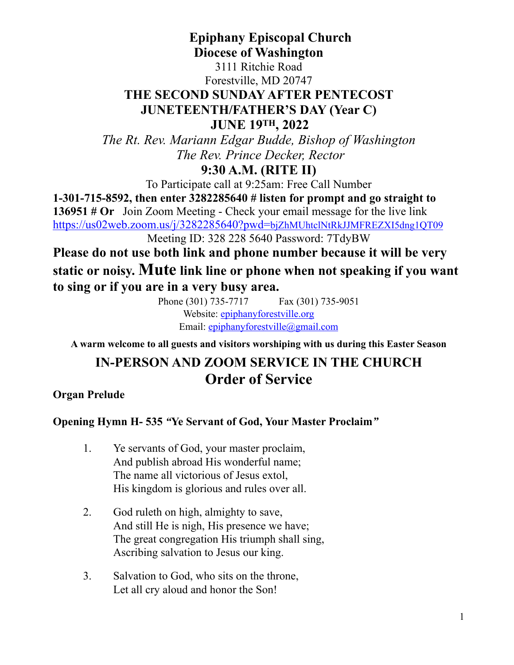**Epiphany Episcopal Church Diocese of Washington**

3111 Ritchie Road Forestville, MD 20747

## **THE SECOND SUNDAY AFTER PENTECOST JUNETEENTH/FATHER'S DAY (Year C) JUNE 19TH, 2022**

*The Rt. Rev. Mariann Edgar Budde, Bishop of Washington The Rev. Prince Decker, Rector*

# **9:30 A.M. (RITE II)**

To Participate call at 9:25am: Free Call Number

**1-301-715-8592, then enter 3282285640 # listen for prompt and go straight to 136951 # Or** Join Zoom Meeting - Check your email message for the live link <https://us02web.zoom.us/j/3282285640?pwd=bjZhMUhtclNtRkJJMFREZXI5dng1QT09>

Meeting ID: 328 228 5640 Password: 7TdyBW **Please do not use both link and phone number because it will be very** 

**static or noisy. Mute link line or phone when not speaking if you want to sing or if you are in a very busy area.**

> Phone (301) 735-7717 Fax (301) 735-9051 Website: epiphanyforestville.org Email: [epiphanyforestville@gmail.com](mailto:epiphanyforestville@gmail.com)

**A warm welcome to all guests and visitors worshiping with us during this Easter Season**

# **IN-PERSON AND ZOOM SERVICE IN THE CHURCH Order of Service**

**Organ Prelude**

# **Opening Hymn H- 535** *"***Ye Servant of God, Your Master Proclaim***"*

- 1. Ye servants of God, your master proclaim, And publish abroad His wonderful name; The name all victorious of Jesus extol, His kingdom is glorious and rules over all.
- 2. God ruleth on high, almighty to save, And still He is nigh, His presence we have; The great congregation His triumph shall sing, Ascribing salvation to Jesus our king.
- 3. Salvation to God, who sits on the throne, Let all cry aloud and honor the Son!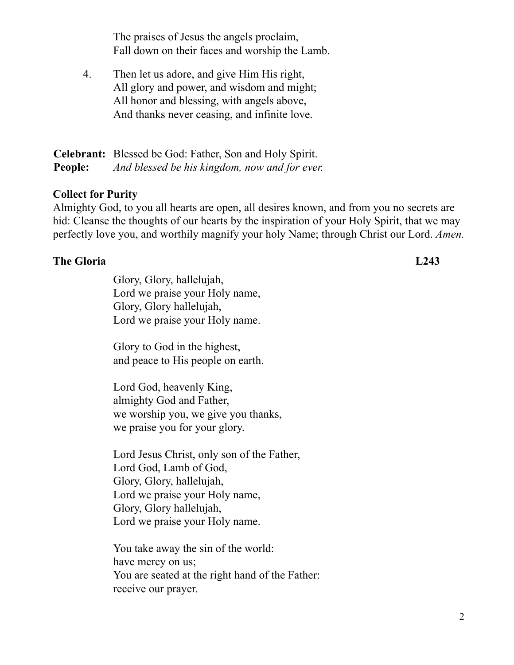The praises of Jesus the angels proclaim, Fall down on their faces and worship the Lamb.

4. Then let us adore, and give Him His right, All glory and power, and wisdom and might; All honor and blessing, with angels above, And thanks never ceasing, and infinite love.

**Celebrant:** Blessed be God: Father, Son and Holy Spirit. **People:** *And blessed be his kingdom, now and for ever.*

#### **Collect for Purity**

Almighty God, to you all hearts are open, all desires known, and from you no secrets are hid: Cleanse the thoughts of our hearts by the inspiration of your Holy Spirit, that we may perfectly love you, and worthily magnify your holy Name; through Christ our Lord. *Amen.*

#### **The Gloria L243**

Glory, Glory, hallelujah, Lord we praise your Holy name, Glory, Glory hallelujah, Lord we praise your Holy name.

Glory to God in the highest, and peace to His people on earth.

Lord God, heavenly King, almighty God and Father, we worship you, we give you thanks, we praise you for your glory.

Lord Jesus Christ, only son of the Father, Lord God, Lamb of God, Glory, Glory, hallelujah, Lord we praise your Holy name, Glory, Glory hallelujah, Lord we praise your Holy name.

You take away the sin of the world: have mercy on us; You are seated at the right hand of the Father: receive our prayer.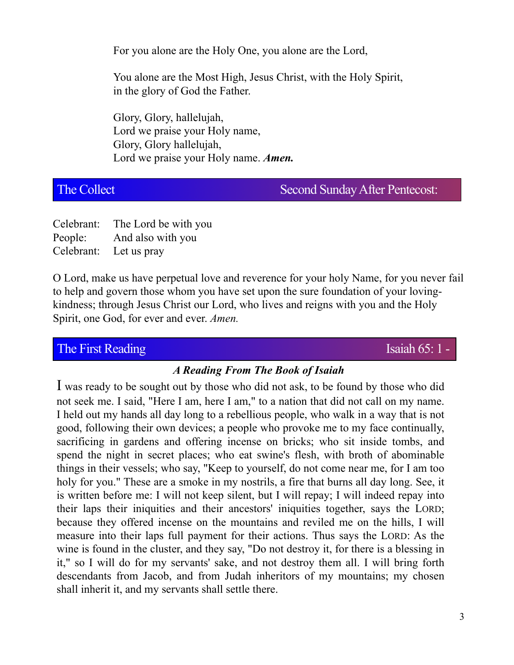For you alone are the Holy One, you alone are the Lord,

You alone are the Most High, Jesus Christ, with the Holy Spirit, in the glory of God the Father.

Glory, Glory, hallelujah, Lord we praise your Holy name, Glory, Glory hallelujah, Lord we praise your Holy name. *Amen.*

# The Collect Second Sunday After Pentecost:

| Celebrant: | The Lord be with you   |
|------------|------------------------|
| People:    | And also with you      |
|            | Celebrant: Let us pray |

O Lord, make us have perpetual love and reverence for your holy Name, for you never fail to help and govern those whom you have set upon the sure foundation of your lovingkindness; through Jesus Christ our Lord, who lives and reigns with you and the Holy Spirit, one God, for ever and ever. *Amen.*

# The First Reading Isaiah 65: 1 -

## *A Reading From The Book of Isaiah*

I was ready to be sought out by those who did not ask, to be found by those who did not seek me. I said, "Here I am, here I am," to a nation that did not call on my name. I held out my hands all day long to a rebellious people, who walk in a way that is not good, following their own devices; a people who provoke me to my face continually, sacrificing in gardens and offering incense on bricks; who sit inside tombs, and spend the night in secret places; who eat swine's flesh, with broth of abominable things in their vessels; who say, "Keep to yourself, do not come near me, for I am too holy for you." These are a smoke in my nostrils, a fire that burns all day long. See, it is written before me: I will not keep silent, but I will repay; I will indeed repay into their laps their iniquities and their ancestors' iniquities together, says the LORD; because they offered incense on the mountains and reviled me on the hills, I will measure into their laps full payment for their actions. Thus says the LORD: As the wine is found in the cluster, and they say, "Do not destroy it, for there is a blessing in it," so I will do for my servants' sake, and not destroy them all. I will bring forth descendants from Jacob, and from Judah inheritors of my mountains; my chosen shall inherit it, and my servants shall settle there.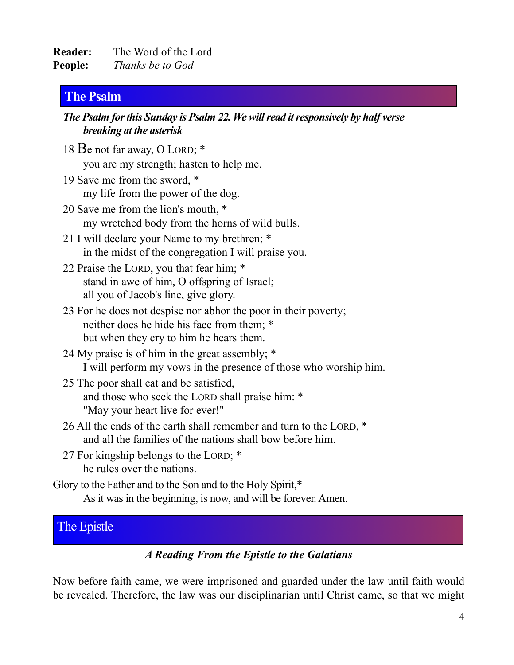**Reader:** The Word of the Lord **People:** *Thanks be to God*

# **The Psalm**

#### *The Psalm for this Sunday is Psalm 22. We will read it responsively by half verse breaking at the asterisk*

- 18 Be not far away, O LORD; \* you are my strength; hasten to help me.
- 19 Save me from the sword, \* my life from the power of the dog.
- 20 Save me from the lion's mouth, \* my wretched body from the horns of wild bulls.
- 21 I will declare your Name to my brethren; \* in the midst of the congregation I will praise you.
- 22 Praise the LORD, you that fear him; \* stand in awe of him, O offspring of Israel; all you of Jacob's line, give glory.
- 23 For he does not despise nor abhor the poor in their poverty; neither does he hide his face from them; \* but when they cry to him he hears them.
- 24 My praise is of him in the great assembly; \* I will perform my vows in the presence of those who worship him.
- 25 The poor shall eat and be satisfied, and those who seek the LORD shall praise him: \* "May your heart live for ever!"
- 26 All the ends of the earth shall remember and turn to the LORD, \* and all the families of the nations shall bow before him.
- 27 For kingship belongs to the LORD; \* he rules over the nations.

Glory to the Father and to the Son and to the Holy Spirit,\* As it was in the beginning, is now, and will be forever. Amen.

# The Epistle

## *A Reading From the Epistle to the Galatians*

Now before faith came, we were imprisoned and guarded under the law until faith would be revealed. Therefore, the law was our disciplinarian until Christ came, so that we might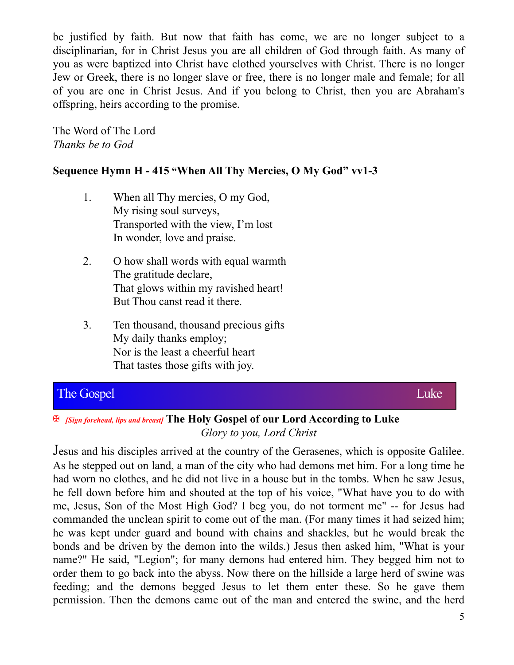be justified by faith. But now that faith has come, we are no longer subject to a disciplinarian, for in Christ Jesus you are all children of God through faith. As many of you as were baptized into Christ have clothed yourselves with Christ. There is no longer Jew or Greek, there is no longer slave or free, there is no longer male and female; for all of you are one in Christ Jesus. And if you belong to Christ, then you are Abraham's offspring, heirs according to the promise.

The Word of The Lord *Thanks be to God*

#### **Sequence Hymn H - 415 "When All Thy Mercies, O My God" vv1-3**

- 1. When all Thy mercies, O my God, My rising soul surveys, Transported with the view, I'm lost In wonder, love and praise.
- 2. O how shall words with equal warmth The gratitude declare, That glows within my ravished heart! But Thou canst read it there.
- 3. Ten thousand, thousand precious gifts My daily thanks employ; Nor is the least a cheerful heart That tastes those gifts with joy.

# **The Gospel** Luke Luke Luke 2008 and 2008 and 2008 and 2008 and 2008 and 2008 and 2008 and 2008 and 2008 and 2008 and 2008 and 2008 and 2008 and 2008 and 2008 and 2008 and 2008 and 2008 and 2008 and 2008 and 2008 and 2008

#### ✠ *[Sign forehead, lips and breast]* **The Holy Gospel of our Lord According to Luke** *Glory to you, Lord Christ*

Jesus and his disciples arrived at the country of the Gerasenes, which is opposite Galilee. As he stepped out on land, a man of the city who had demons met him. For a long time he had worn no clothes, and he did not live in a house but in the tombs. When he saw Jesus, he fell down before him and shouted at the top of his voice, "What have you to do with me, Jesus, Son of the Most High God? I beg you, do not torment me" -- for Jesus had commanded the unclean spirit to come out of the man. (For many times it had seized him; he was kept under guard and bound with chains and shackles, but he would break the bonds and be driven by the demon into the wilds.) Jesus then asked him, "What is your name?" He said, "Legion"; for many demons had entered him. They begged him not to order them to go back into the abyss. Now there on the hillside a large herd of swine was feeding; and the demons begged Jesus to let them enter these. So he gave them permission. Then the demons came out of the man and entered the swine, and the herd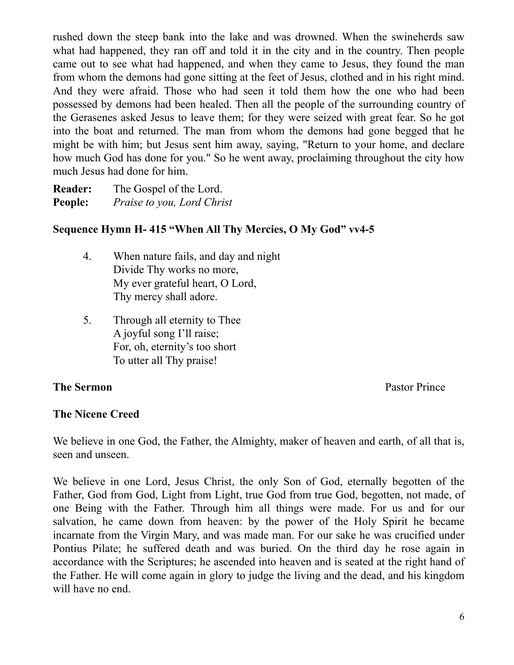rushed down the steep bank into the lake and was drowned. When the swineherds saw what had happened, they ran off and told it in the city and in the country. Then people came out to see what had happened, and when they came to Jesus, they found the man from whom the demons had gone sitting at the feet of Jesus, clothed and in his right mind. And they were afraid. Those who had seen it told them how the one who had been possessed by demons had been healed. Then all the people of the surrounding country of the Gerasenes asked Jesus to leave them; for they were seized with great fear. So he got into the boat and returned. The man from whom the demons had gone begged that he might be with him; but Jesus sent him away, saying, "Return to your home, and declare how much God has done for you." So he went away, proclaiming throughout the city how much Jesus had done for him.

**Reader:** The Gospel of the Lord. **People:** *Praise to you, Lord Christ*

#### **Sequence Hymn H- 415 "When All Thy Mercies, O My God" vv4-5**

- 4. When nature fails, and day and night Divide Thy works no more, My ever grateful heart, O Lord, Thy mercy shall adore.
- 5. Through all eternity to Thee A joyful song I'll raise; For, oh, eternity's too short To utter all Thy praise!

**The Sermon** Pastor Prince

#### **The Nicene Creed**

We believe in one God, the Father, the Almighty, maker of heaven and earth, of all that is, seen and unseen.

We believe in one Lord, Jesus Christ, the only Son of God, eternally begotten of the Father, God from God, Light from Light, true God from true God, begotten, not made, of one Being with the Father. Through him all things were made. For us and for our salvation, he came down from heaven: by the power of the Holy Spirit he became incarnate from the Virgin Mary, and was made man. For our sake he was crucified under Pontius Pilate; he suffered death and was buried. On the third day he rose again in accordance with the Scriptures; he ascended into heaven and is seated at the right hand of the Father. He will come again in glory to judge the living and the dead, and his kingdom will have no end.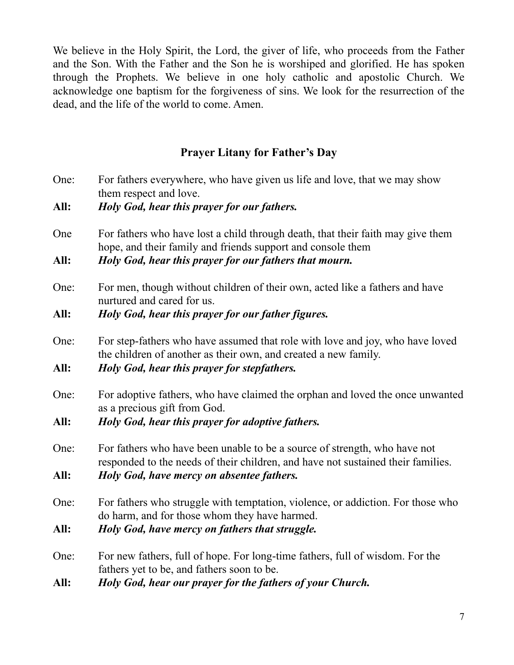We believe in the Holy Spirit, the Lord, the giver of life, who proceeds from the Father and the Son. With the Father and the Son he is worshiped and glorified. He has spoken through the Prophets. We believe in one holy catholic and apostolic Church. We acknowledge one baptism for the forgiveness of sins. We look for the resurrection of the dead, and the life of the world to come. Amen.

## **[Prayer Litany for Father's Day](http://fatpastor.wordpress.com/2009/06/21/litany-for-fathers/)**

- One: For fathers everywhere, who have given us life and love, that we may show them respect and love.
- **All:** *Holy God, hear this prayer for our fathers.*
- One For fathers who have lost a child through death, that their faith may give them hope, and their family and friends support and console them

**All:** *Holy God, hear this prayer for our fathers that mourn.*

One: For men, though without children of their own, acted like a fathers and have nurtured and cared for us.

#### **All:** *Holy God, hear this prayer for our father figures.*

- One: For step-fathers who have assumed that role with love and joy, who have loved the children of another as their own, and created a new family.
- **All:** *Holy God, hear this prayer for stepfathers.*
- One: For adoptive fathers, who have claimed the orphan and loved the once unwanted as a precious gift from God.
- **All:** *Holy God, hear this prayer for adoptive fathers.*
- One: For fathers who have been unable to be a source of strength, who have not responded to the needs of their children, and have not sustained their families.
- **All:** *Holy God, have mercy on absentee fathers.*
- One: For fathers who struggle with temptation, violence, or addiction. For those who do harm, and for those whom they have harmed.
- **All:** *Holy God, have mercy on fathers that struggle.*
- One: For new fathers, full of hope. For long-time fathers, full of wisdom. For the fathers yet to be, and fathers soon to be.
- **All:** *Holy God, hear our prayer for the fathers of your Church.*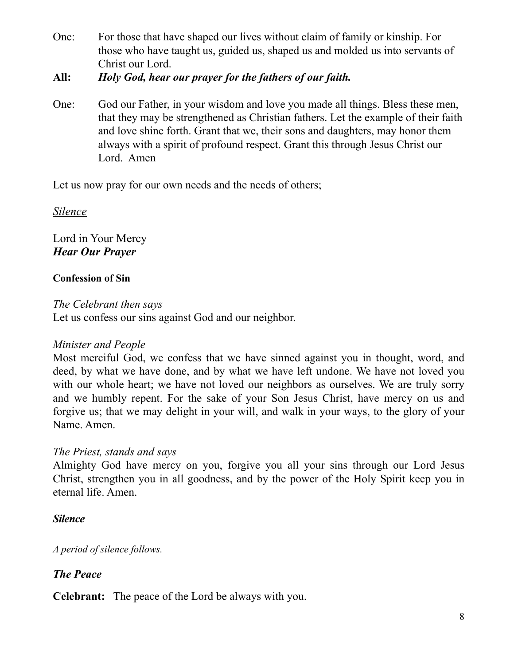- One: For those that have shaped our lives without claim of family or kinship. For those who have taught us, guided us, shaped us and molded us into servants of Christ our Lord.
- **All:** *Holy God, hear our prayer for the fathers of our faith.*
- One: God our Father, in your wisdom and love you made all things. Bless these men, that they may be strengthened as Christian fathers. Let the example of their faith and love shine forth. Grant that we, their sons and daughters, may honor them always with a spirit of profound respect. Grant this through Jesus Christ our Lord. Amen

Let us now pray for our own needs and the needs of others;

*Silence*

Lord in Your Mercy *Hear Our Prayer*

## **Confession of Sin**

*The Celebrant then says*

Let us confess our sins against God and our neighbor.

#### *Minister and People*

Most merciful God, we confess that we have sinned against you in thought, word, and deed, by what we have done, and by what we have left undone. We have not loved you with our whole heart; we have not loved our neighbors as ourselves. We are truly sorry and we humbly repent. For the sake of your Son Jesus Christ, have mercy on us and forgive us; that we may delight in your will, and walk in your ways, to the glory of your Name. Amen.

## *The Priest, stands and says*

Almighty God have mercy on you, forgive you all your sins through our Lord Jesus Christ, strengthen you in all goodness, and by the power of the Holy Spirit keep you in eternal life. Amen.

#### *Silence*

*A period of silence follows.*

#### *The Peace*

**Celebrant:** The peace of the Lord be always with you.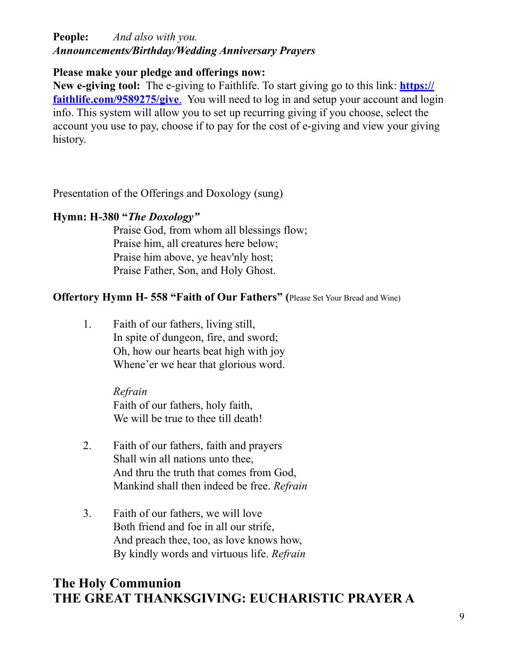## **People:** *And also with you. Announcements/Birthday/Wedding Anniversary Prayers*

#### **Please make your pledge and offerings now:**

**New e-giving tool:** The e-giving to Faithlife. To start giving go to this link: **[https://](https://faithlife.com/9589275/give) [faithlife.com/9589275/give](https://faithlife.com/9589275/give).** You will need to log in and setup your account and login info. This system will allow you to set up recurring giving if you choose, select the account you use to pay, choose if to pay for the cost of e-giving and view your giving history.

Presentation of the Offerings and Doxology (sung)

#### **Hymn: H-380 "***The Doxology"*

Praise God, from whom all blessings flow; Praise him, all creatures here below; Praise him above, ye heav'nly host; Praise Father, Son, and Holy Ghost.

### **Offertory Hymn H- 558 "Faith of Our Fathers" (**Please Set Your Bread and Wine)

1. Faith of our fathers, living still, In spite of dungeon, fire, and sword; Oh, how our hearts beat high with joy Whene'er we hear that glorious word.

> *Refrain* Faith of our fathers, holy faith, We will be true to thee till death!

- 2. Faith of our fathers, faith and prayers Shall win all nations unto thee, And thru the truth that comes from God, Mankind shall then indeed be free. *Refrain*
- 3. Faith of our fathers, we will love Both friend and foe in all our strife, And preach thee, too, as love knows how, By kindly words and virtuous life. *Refrain*

# **The Holy Communion THE GREAT THANKSGIVING: EUCHARISTIC PRAYER A**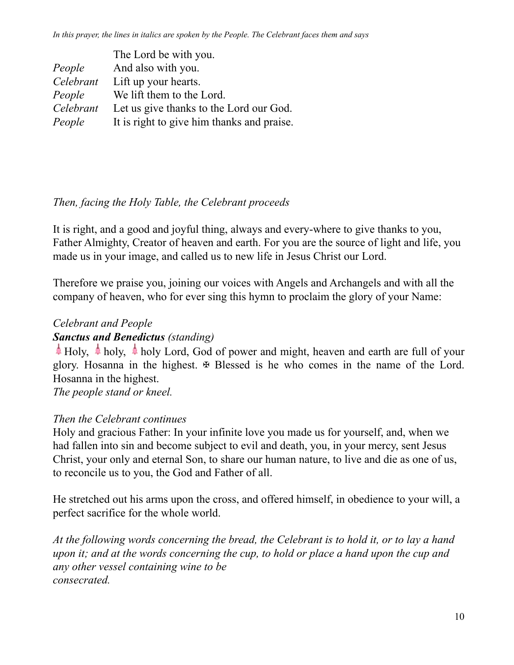*In this prayer, the lines in italics are spoken by the People. The Celebrant faces them and says* 

|           | The Lord be with you.                      |
|-----------|--------------------------------------------|
| People    | And also with you.                         |
| Celebrant | Lift up your hearts.                       |
| People    | We lift them to the Lord.                  |
| Celebrant | Let us give thanks to the Lord our God.    |
| People    | It is right to give him thanks and praise. |

## *Then, facing the Holy Table, the Celebrant proceeds*

It is right, and a good and joyful thing, always and every-where to give thanks to you, Father Almighty, Creator of heaven and earth. For you are the source of light and life, you made us in your image, and called us to new life in Jesus Christ our Lord.

Therefore we praise you, joining our voices with Angels and Archangels and with all the company of heaven, who for ever sing this hymn to proclaim the glory of your Name:

## *Celebrant and People*

## *Sanctus and Benedictus (standing)*

 $\overrightarrow{A}$  Holy,  $\overrightarrow{A}$  holy,  $\overrightarrow{B}$  holy Lord, God of power and might, heaven and earth are full of your glory. Hosanna in the highest. ✠ Blessed is he who comes in the name of the Lord. Hosanna in the highest.

*The people stand or kneel.*

#### *Then the Celebrant continues*

Holy and gracious Father: In your infinite love you made us for yourself, and, when we had fallen into sin and become subject to evil and death, you, in your mercy, sent Jesus Christ, your only and eternal Son, to share our human nature, to live and die as one of us, to reconcile us to you, the God and Father of all.

He stretched out his arms upon the cross, and offered himself, in obedience to your will, a perfect sacrifice for the whole world.

*At the following words concerning the bread, the Celebrant is to hold it, or to lay a hand upon it; and at the words concerning the cup, to hold or place a hand upon the cup and any other vessel containing wine to be consecrated.*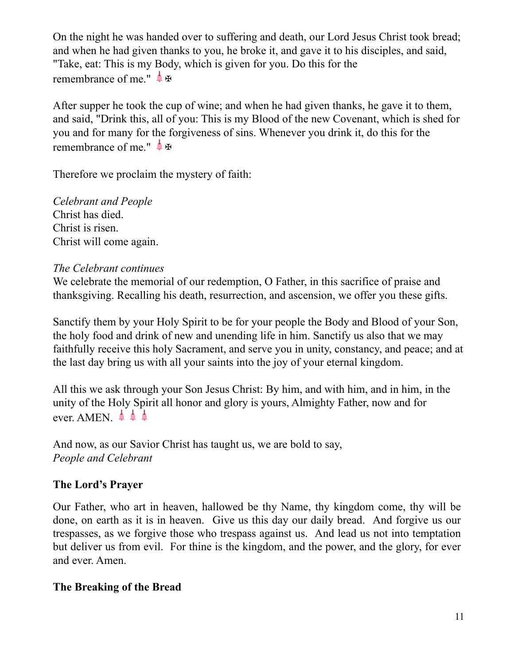On the night he was handed over to suffering and death, our Lord Jesus Christ took bread; and when he had given thanks to you, he broke it, and gave it to his disciples, and said, "Take, eat: This is my Body, which is given for you. Do this for the remembrance of me."  $\stackrel{\bullet}{\bullet} \mathbb{F}$ 

After supper he took the cup of wine; and when he had given thanks, he gave it to them, and said, "Drink this, all of you: This is my Blood of the new Covenant, which is shed for you and for many for the forgiveness of sins. Whenever you drink it, do this for the remembrance of me."  $\stackrel{\bullet}{\bullet} \mathbb{F}$ 

Therefore we proclaim the mystery of faith:

*Celebrant and People* Christ has died. Christ is risen. Christ will come again.

#### *The Celebrant continues*

We celebrate the memorial of our redemption, O Father, in this sacrifice of praise and thanksgiving. Recalling his death, resurrection, and ascension, we offer you these gifts.

Sanctify them by your Holy Spirit to be for your people the Body and Blood of your Son, the holy food and drink of new and unending life in him. Sanctify us also that we may faithfully receive this holy Sacrament, and serve you in unity, constancy, and peace; and at the last day bring us with all your saints into the joy of your eternal kingdom.

All this we ask through your Son Jesus Christ: By him, and with him, and in him, in the unity of the Holy Spirit all honor and glory is yours, Almighty Father, now and for ever. AMEN.  $\frac{1}{2}$ 

And now, as our Savior Christ has taught us, we are bold to say, *People and Celebrant*

#### **The Lord's Prayer**

Our Father, who art in heaven, hallowed be thy Name, thy kingdom come, thy will be done, on earth as it is in heaven. Give us this day our daily bread. And forgive us our trespasses, as we forgive those who trespass against us. And lead us not into temptation but deliver us from evil. For thine is the kingdom, and the power, and the glory, for ever and ever. Amen.

#### **The Breaking of the Bread**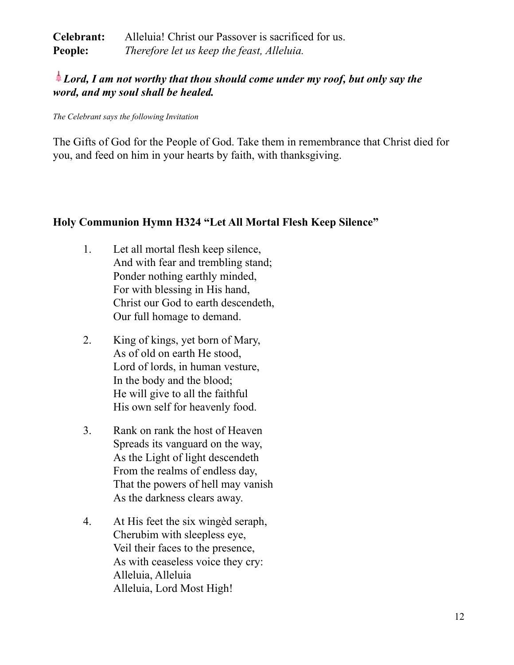**Celebrant:** Alleluia! Christ our Passover is sacrificed for us. **People:** *Therefore let us keep the feast, Alleluia.* 

# *Lord, I am not worthy that thou should come under my roof, but only say the word, and my soul shall be healed.*

*The Celebrant says the following Invitation*

The Gifts of God for the People of God. Take them in remembrance that Christ died for you, and feed on him in your hearts by faith, with thanksgiving.

#### **Holy Communion Hymn H324 "Let All Mortal Flesh Keep Silence"**

- 1. Let all mortal flesh keep silence, And with fear and trembling stand; Ponder nothing earthly minded, For with blessing in His hand, Christ our God to earth descendeth, Our full homage to demand.
- 2. King of kings, yet born of Mary, As of old on earth He stood, Lord of lords, in human vesture, In the body and the blood; He will give to all the faithful His own self for heavenly food.
- 3. Rank on rank the host of Heaven Spreads its vanguard on the way, As the Light of light descendeth From the realms of endless day, That the powers of hell may vanish As the darkness clears away.
- 4. At His feet the six wingèd seraph, Cherubim with sleepless eye, Veil their faces to the presence, As with ceaseless voice they cry: Alleluia, Alleluia Alleluia, Lord Most High!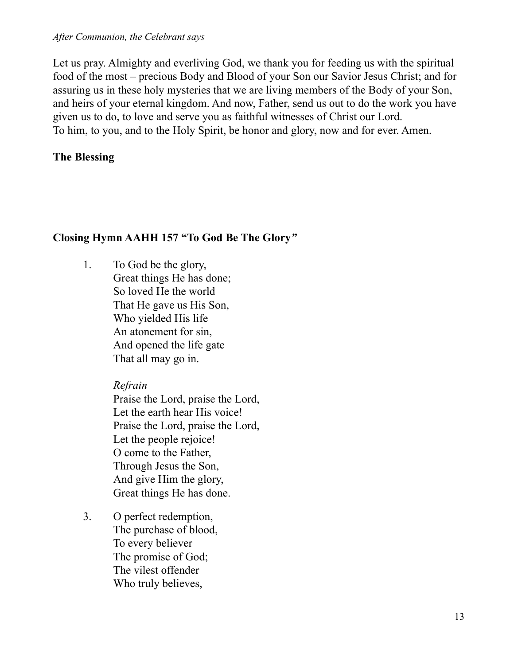#### *After Communion, the Celebrant says*

Let us pray. Almighty and everliving God, we thank you for feeding us with the spiritual food of the most – precious Body and Blood of your Son our Savior Jesus Christ; and for assuring us in these holy mysteries that we are living members of the Body of your Son, and heirs of your eternal kingdom. And now, Father, send us out to do the work you have given us to do, to love and serve you as faithful witnesses of Christ our Lord. To him, to you, and to the Holy Spirit, be honor and glory, now and for ever. Amen.

#### **The Blessing**

#### **Closing Hymn AAHH 157 "To God Be The Glory***"*

1. To God be the glory, Great things He has done; So loved He the world That He gave us His Son, Who yielded His life An atonement for sin, And opened the life gate That all may go in.

#### *Refrain*

Praise the Lord, praise the Lord, Let the earth hear His voice! Praise the Lord, praise the Lord, Let the people rejoice! O come to the Father, Through Jesus the Son, And give Him the glory, Great things He has done.

3. O perfect redemption, The purchase of blood, To every believer The promise of God; The vilest offender Who truly believes,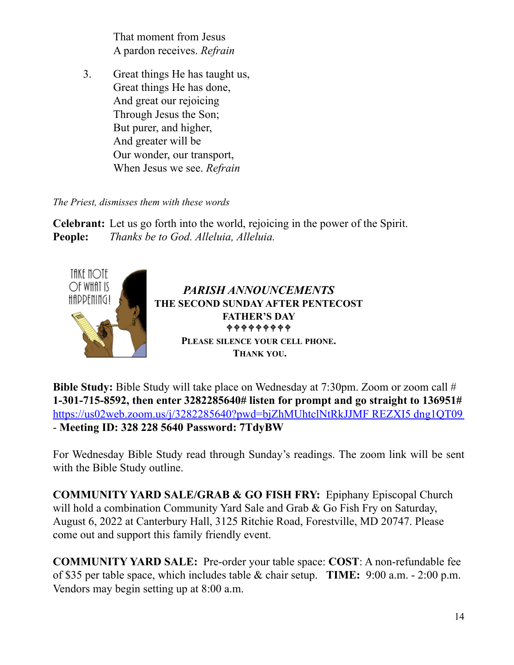That moment from Jesus A pardon receives. *Refrain*

3. Great things He has taught us, Great things He has done, And great our rejoicing Through Jesus the Son; But purer, and higher, And greater will be Our wonder, our transport, When Jesus we see. *Refrain*

#### *The Priest, dismisses them with these words*

**Celebrant:** Let us go forth into the world, rejoicing in the power of the Spirit. **People:** *Thanks be to God. Alleluia, Alleluia.* 



**Bible Study:** Bible Study will take place on Wednesday at 7:30pm. Zoom or zoom call # **1-301-715-8592, then enter 3282285640# listen for prompt and go straight to 136951#**  [https://us02web.zoom.us/j/3282285640?pwd=bjZhMUhtclNtRkJJMF REZXI5 dng1QT09](https://us02web.zoom.us/j/3282285640?pwd=bjZhMUhtclNtRkJJMF%2520REZXI5%2520dng1QT09%2520)  - **Meeting ID: 328 228 5640 Password: 7TdyBW**

For Wednesday Bible Study read through Sunday's readings. The zoom link will be sent with the Bible Study outline.

**COMMUNITY YARD SALE/GRAB & GO FISH FRY:** Epiphany Episcopal Church will hold a combination Community Yard Sale and Grab & Go Fish Fry on Saturday, August 6, 2022 at Canterbury Hall, 3125 Ritchie Road, Forestville, MD 20747. Please come out and support this family friendly event.

**COMMUNITY YARD SALE:** Pre-order your table space: **COST**: A non-refundable fee of \$35 per table space, which includes table & chair setup. **TIME:** 9:00 a.m. - 2:00 p.m. Vendors may begin setting up at 8:00 a.m.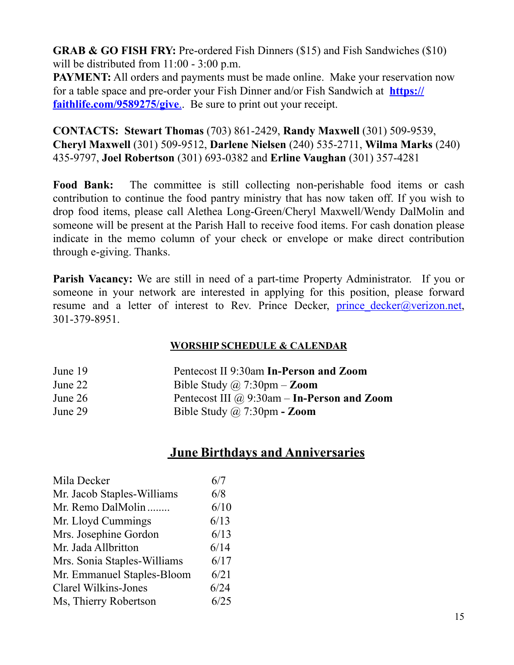**GRAB & GO FISH FRY:** Pre-ordered Fish Dinners (\$15) and Fish Sandwiches (\$10) will be distributed from 11:00 - 3:00 p.m.

**PAYMENT:** All orders and payments must be made online. Make your reservation now for a table space and pre-order your Fish Dinner and/or Fish Sandwich at **[https://](https://faithlife.com/9589275/give) [faithlife.com/9589275/give](https://faithlife.com/9589275/give)**.. Be sure to print out your receipt.

## **CONTACTS: Stewart Thomas** (703) 861-2429, **Randy Maxwell** (301) 509-9539, **Cheryl Maxwell** (301) 509-9512, **Darlene Nielsen** (240) 535-2711, **Wilma Marks** (240) 435-9797, **Joel Robertson** (301) 693-0382 and **Erline Vaughan** (301) 357-4281

**Food Bank:** The committee is still collecting non-perishable food items or cash contribution to continue the food pantry ministry that has now taken off. If you wish to drop food items, please call Alethea Long-Green/Cheryl Maxwell/Wendy DalMolin and someone will be present at the Parish Hall to receive food items. For cash donation please indicate in the memo column of your check or envelope or make direct contribution through e-giving. Thanks.

**Parish Vacancy:** We are still in need of a part-time Property Administrator. If you or someone in your network are interested in applying for this position, please forward resume and a letter of interest to Rev. Prince Decker, prince  $\frac{decker@verizon.net}{decerizon.net}$ , 301-379-8951.

#### **WORSHIP SCHEDULE & CALENDAR**

| June 19   | Pentecost II 9:30am In-Person and Zoom                |
|-----------|-------------------------------------------------------|
| June 22   | Bible Study @ 7:30pm $-$ <b>Zoom</b>                  |
| June $26$ | Pentecost III @ $9:30$ am - <b>In-Person and Zoom</b> |
| June 29   | Bible Study $\omega$ 7:30pm - <b>Zoom</b>             |

# **June Birthdays and Anniversaries**

| Mila Decker                 | 6/7  |
|-----------------------------|------|
| Mr. Jacob Staples-Williams  | 6/8  |
| Mr. Remo DalMolin           | 6/10 |
| Mr. Lloyd Cummings          | 6/13 |
| Mrs. Josephine Gordon       | 6/13 |
| Mr. Jada Allbritton         | 6/14 |
| Mrs. Sonia Staples-Williams | 6/17 |
| Mr. Emmanuel Staples-Bloom  | 6/21 |
| Clarel Wilkins-Jones        | 6/24 |
| Ms, Thierry Robertson       | 6/25 |